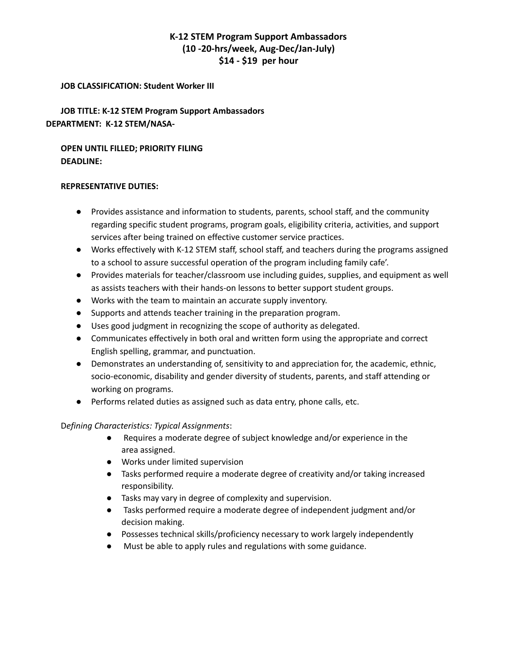# **K-12 STEM Program Support Ambassadors (10 -20-hrs/week, Aug-Dec/Jan-July) \$14 - \$19 per hour**

#### **JOB CLASSIFICATION: Student Worker III**

**JOB TITLE: K-12 STEM Program Support Ambassadors DEPARTMENT: K-12 STEM/NASA-**

**OPEN UNTIL FILLED; PRIORITY FILING DEADLINE:**

#### **REPRESENTATIVE DUTIES:**

- Provides assistance and information to students, parents, school staff, and the community regarding specific student programs, program goals, eligibility criteria, activities, and support services after being trained on effective customer service practices.
- Works effectively with K-12 STEM staff, school staff, and teachers during the programs assigned to a school to assure successful operation of the program including family cafe'.
- Provides materials for teacher/classroom use including guides, supplies, and equipment as well as assists teachers with their hands-on lessons to better support student groups.
- Works with the team to maintain an accurate supply inventory.
- Supports and attends teacher training in the preparation program.
- Uses good judgment in recognizing the scope of authority as delegated.
- Communicates effectively in both oral and written form using the appropriate and correct English spelling, grammar, and punctuation.
- Demonstrates an understanding of, sensitivity to and appreciation for, the academic, ethnic, socio-economic, disability and gender diversity of students, parents, and staff attending or working on programs.
- Performs related duties as assigned such as data entry, phone calls, etc.

## D*efining Characteristics: Typical Assignments*:

- Requires a moderate degree of subject knowledge and/or experience in the area assigned.
- Works under limited supervision
- Tasks performed require a moderate degree of creativity and/or taking increased responsibility.
- Tasks may vary in degree of complexity and supervision.
- Tasks performed require a moderate degree of independent judgment and/or decision making.
- Possesses technical skills/proficiency necessary to work largely independently
- Must be able to apply rules and regulations with some guidance.